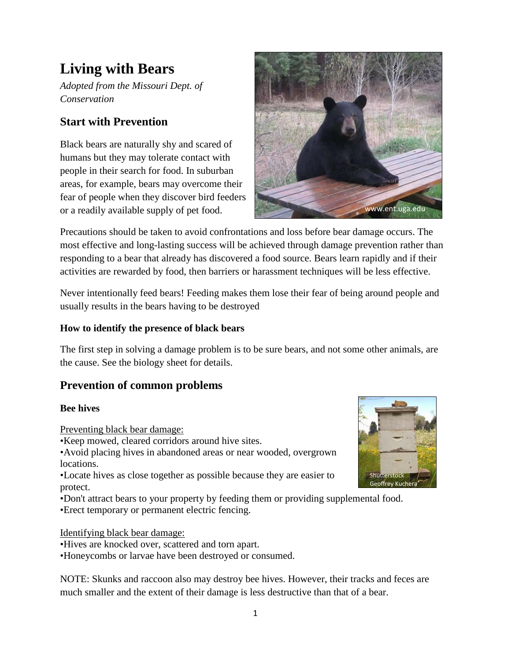# **Living with Bears**

*Adopted from the Missouri Dept. of Conservation*

# **Start with Prevention**

Black bears are naturally shy and scared of humans but they may tolerate contact with people in their search for food. In suburban areas, for example, bears may overcome their fear of people when they discover bird feeders or a readily available supply of pet food.



Precautions should be taken to avoid confrontations and loss before bear damage occurs. The most effective and long-lasting success will be achieved through damage prevention rather than responding to a bear that already has discovered a food source. Bears learn rapidly and if their activities are rewarded by food, then barriers or harassment techniques will be less effective.

Never intentionally feed bears! Feeding makes them lose their fear of being around people and usually results in the bears having to be destroyed

### **How to identify the presence of black bears**

The first step in solving a damage problem is to be sure bears, and not some other animals, are the cause. See the biology sheet for details.

# **Prevention of common problems**

#### **Bee hives**

Preventing black bear damage:

•Keep mowed, cleared corridors around hive sites.

•Avoid placing hives in abandoned areas or near wooded, overgrown locations.

•Locate hives as close together as possible because they are easier to protect.

•Don't attract bears to your property by feeding them or providing supplemental food.

•Erect temporary or permanent electric fencing.

Identifying black bear damage:

•Hives are knocked over, scattered and torn apart.

•Honeycombs or larvae have been destroyed or consumed.

NOTE: Skunks and raccoon also may destroy bee hives. However, their tracks and feces are much smaller and the extent of their damage is less destructive than that of a bear.

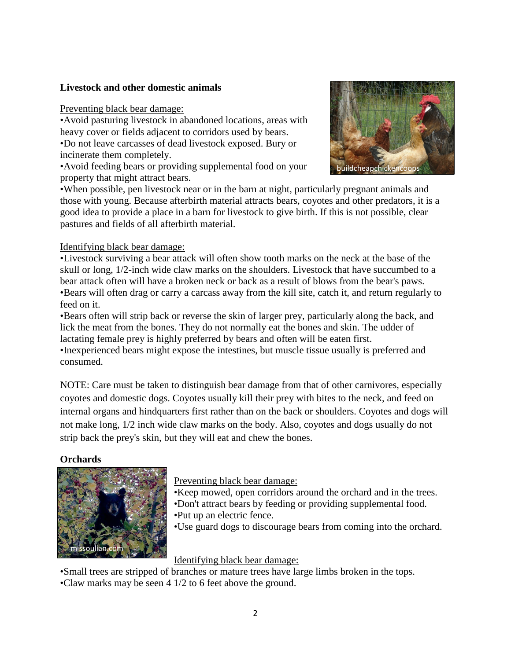#### **Livestock and other domestic animals**

Preventing black bear damage:

•Avoid pasturing livestock in abandoned locations, areas with heavy cover or fields adjacent to corridors used by bears.

•Do not leave carcasses of dead livestock exposed. Bury or incinerate them completely.

•Avoid feeding bears or providing supplemental food on your property that might attract bears.



•When possible, pen livestock near or in the barn at night, particularly pregnant animals and those with young. Because afterbirth material attracts bears, coyotes and other predators, it is a good idea to provide a place in a barn for livestock to give birth. If this is not possible, clear pastures and fields of all afterbirth material.

#### Identifying black bear damage:

•Livestock surviving a bear attack will often show tooth marks on the neck at the base of the skull or long, 1/2-inch wide claw marks on the shoulders. Livestock that have succumbed to a bear attack often will have a broken neck or back as a result of blows from the bear's paws. •Bears will often drag or carry a carcass away from the kill site, catch it, and return regularly to feed on it.

•Bears often will strip back or reverse the skin of larger prey, particularly along the back, and lick the meat from the bones. They do not normally eat the bones and skin. The udder of lactating female prey is highly preferred by bears and often will be eaten first.

•Inexperienced bears might expose the intestines, but muscle tissue usually is preferred and consumed.

NOTE: Care must be taken to distinguish bear damage from that of other carnivores, especially coyotes and domestic dogs. Coyotes usually kill their prey with bites to the neck, and feed on internal organs and hindquarters first rather than on the back or shoulders. Coyotes and dogs will not make long, 1/2 inch wide claw marks on the body. Also, coyotes and dogs usually do not strip back the prey's skin, but they will eat and chew the bones.

#### **Orchards**



Preventing black bear damage:

- •Keep mowed, open corridors around the orchard and in the trees. •Don't attract bears by feeding or providing supplemental food.
- •Put up an electric fence.
- •Use guard dogs to discourage bears from coming into the orchard.

## Identifying black bear damage:

•Small trees are stripped of branches or mature trees have large limbs broken in the tops.

•Claw marks may be seen 4 1/2 to 6 feet above the ground.